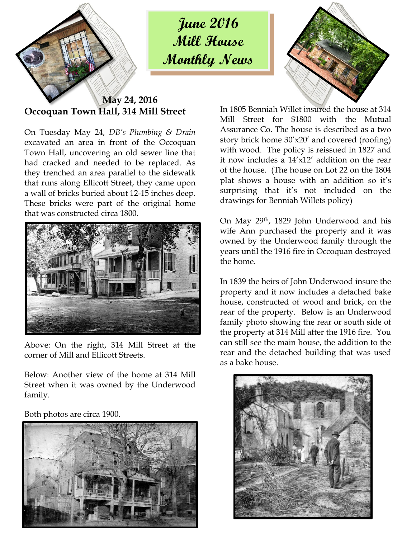

**June 2016 Mill House Monthly News**



**May 24, 2016 Occoquan Town Hall, 314 Mill Street**

On Tuesday May 24, *DB's Plumbing & Drain* excavated an area in front of the Occoquan Town Hall, uncovering an old sewer line that had cracked and needed to be replaced. As they trenched an area parallel to the sidewalk that runs along Ellicott Street, they came upon a wall of bricks buried about 12-15 inches deep. These bricks were part of the original home that was constructed circa 1800.



Above: On the right, 314 Mill Street at the corner of Mill and Ellicott Streets.

Below: Another view of the home at 314 Mill Street when it was owned by the Underwood family.

Both photos are circa 1900.



In 1805 Benniah Willet insured the house at 314 Mill Street for \$1800 with the Mutual Assurance Co. The house is described as a two story brick home 30'x20' and covered (roofing) with wood. The policy is reissued in 1827 and it now includes a 14'x12' addition on the rear of the house. (The house on Lot 22 on the 1804 plat shows a house with an addition so it's surprising that it's not included on the drawings for Benniah Willets policy)

On May 29th, 1829 John Underwood and his wife Ann purchased the property and it was owned by the Underwood family through the years until the 1916 fire in Occoquan destroyed the home.

In 1839 the heirs of John Underwood insure the property and it now includes a detached bake house, constructed of wood and brick, on the rear of the property. Below is an Underwood family photo showing the rear or south side of the property at 314 Mill after the 1916 fire. You can still see the main house, the addition to the rear and the detached building that was used as a bake house.